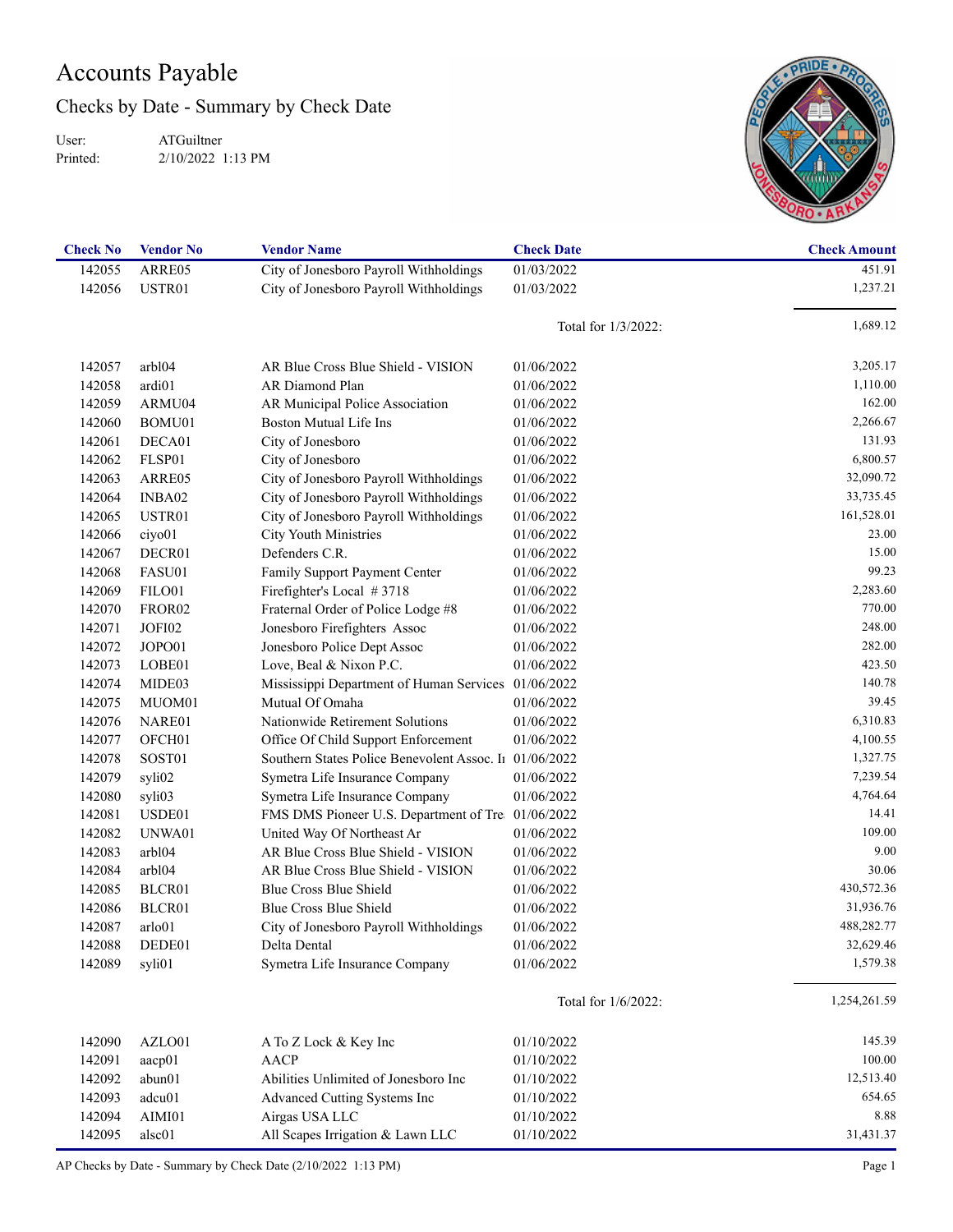## Accounts Payable

Checks by Date - Summary by Check Date

User: Printed: ATGuiltner 2/10/2022 1:13 PM



| <b>Check No</b> | <b>Vendor No</b>   | <b>Vendor Name</b>                                  | <b>Check Date</b>   | <b>Check Amount</b> |
|-----------------|--------------------|-----------------------------------------------------|---------------------|---------------------|
| 142055          | ARRE05             | City of Jonesboro Payroll Withholdings              | 01/03/2022          | 451.91              |
| 142056          | USTR01             | City of Jonesboro Payroll Withholdings              | 01/03/2022          | 1,237.21            |
|                 |                    |                                                     |                     |                     |
|                 |                    |                                                     | Total for 1/3/2022: | 1,689.12            |
| 142057          | arbl04             | AR Blue Cross Blue Shield - VISION                  | 01/06/2022          | 3,205.17            |
| 142058          | ardi01             | AR Diamond Plan                                     | 01/06/2022          | 1,110.00            |
| 142059          | ARMU04             | AR Municipal Police Association                     | 01/06/2022          | 162.00              |
| 142060          | BOMU01             | <b>Boston Mutual Life Ins</b>                       | 01/06/2022          | 2,266.67            |
| 142061          | DECA01             | City of Jonesboro                                   | 01/06/2022          | 131.93              |
| 142062          | FLSP01             | City of Jonesboro                                   | 01/06/2022          | 6,800.57            |
| 142063          | ARRE05             | City of Jonesboro Payroll Withholdings              | 01/06/2022          | 32,090.72           |
| 142064          | INBA02             | City of Jonesboro Payroll Withholdings              | 01/06/2022          | 33,735.45           |
| 142065          | USTR01             | City of Jonesboro Payroll Withholdings              | 01/06/2022          | 161,528.01          |
| 142066          | ciyo01             | City Youth Ministries                               | 01/06/2022          | 23.00               |
| 142067          | DECR01             | Defenders C.R.                                      | 01/06/2022          | 15.00               |
| 142068          | FASU01             | Family Support Payment Center                       | 01/06/2022          | 99.23               |
| 142069          | FILO01             | Firefighter's Local #3718                           | 01/06/2022          | 2,283.60            |
| 142070          | FROR <sub>02</sub> | Fraternal Order of Police Lodge #8                  | 01/06/2022          | 770.00              |
| 142071          | JOFI02             | Jonesboro Firefighters Assoc                        | 01/06/2022          | 248.00              |
| 142072          | JOPO01             | Jonesboro Police Dept Assoc                         | 01/06/2022          | 282.00              |
| 142073          | LOBE01             | Love, Beal & Nixon P.C.                             | 01/06/2022          | 423.50              |
| 142074          | MIDE03             | Mississippi Department of Human Services 01/06/2022 |                     | 140.78              |
|                 |                    | Mutual Of Omaha                                     |                     | 39.45               |
| 142075          | MUOM01             | Nationwide Retirement Solutions                     | 01/06/2022          | 6,310.83            |
| 142076          | NARE01             |                                                     | 01/06/2022          | 4,100.55            |
| 142077          | OFCH <sub>01</sub> | Office Of Child Support Enforcement                 | 01/06/2022          |                     |
| 142078          | SOST01             | Southern States Police Benevolent Assoc. In         | 01/06/2022          | 1,327.75            |
| 142079          | syli02             | Symetra Life Insurance Company                      | 01/06/2022          | 7,239.54            |
| 142080          | syli03             | Symetra Life Insurance Company                      | 01/06/2022          | 4,764.64            |
| 142081          | USDE01             | FMS DMS Pioneer U.S. Department of Tre              | 01/06/2022          | 14.41               |
| 142082          | UNWA01             | United Way Of Northeast Ar                          | 01/06/2022          | 109.00              |
| 142083          | arb104             | AR Blue Cross Blue Shield - VISION                  | 01/06/2022          | 9.00                |
| 142084          | arbl04             | AR Blue Cross Blue Shield - VISION                  | 01/06/2022          | 30.06               |
| 142085          | BLCR01             | Blue Cross Blue Shield                              | 01/06/2022          | 430,572.36          |
| 142086          | BLCR01             | Blue Cross Blue Shield                              | 01/06/2022          | 31,936.76           |
| 142087          | arlo01             | City of Jonesboro Payroll Withholdings              | 01/06/2022          | 488,282.77          |
| 142088          | DEDE01             | Delta Dental                                        | 01/06/2022          | 32,629.46           |
| 142089          | syli01             | Symetra Life Insurance Company                      | 01/06/2022          | 1,579.38            |
|                 |                    |                                                     | Total for 1/6/2022: | 1,254,261.59        |
| 142090          | AZLO01             | A To Z Lock & Key Inc                               | 01/10/2022          | 145.39              |
| 142091          | aacp01             | <b>AACP</b>                                         | 01/10/2022          | 100.00              |
| 142092          | abun01             | Abilities Unlimited of Jonesboro Inc                | 01/10/2022          | 12,513.40           |
| 142093          | adcu01             | Advanced Cutting Systems Inc                        | 01/10/2022          | 654.65              |
| 142094          | AIMI01             | Airgas USA LLC                                      | 01/10/2022          | 8.88                |
|                 |                    |                                                     |                     | 31,431.37           |
| 142095          | alsc01             | All Scapes Irrigation & Lawn LLC                    | 01/10/2022          |                     |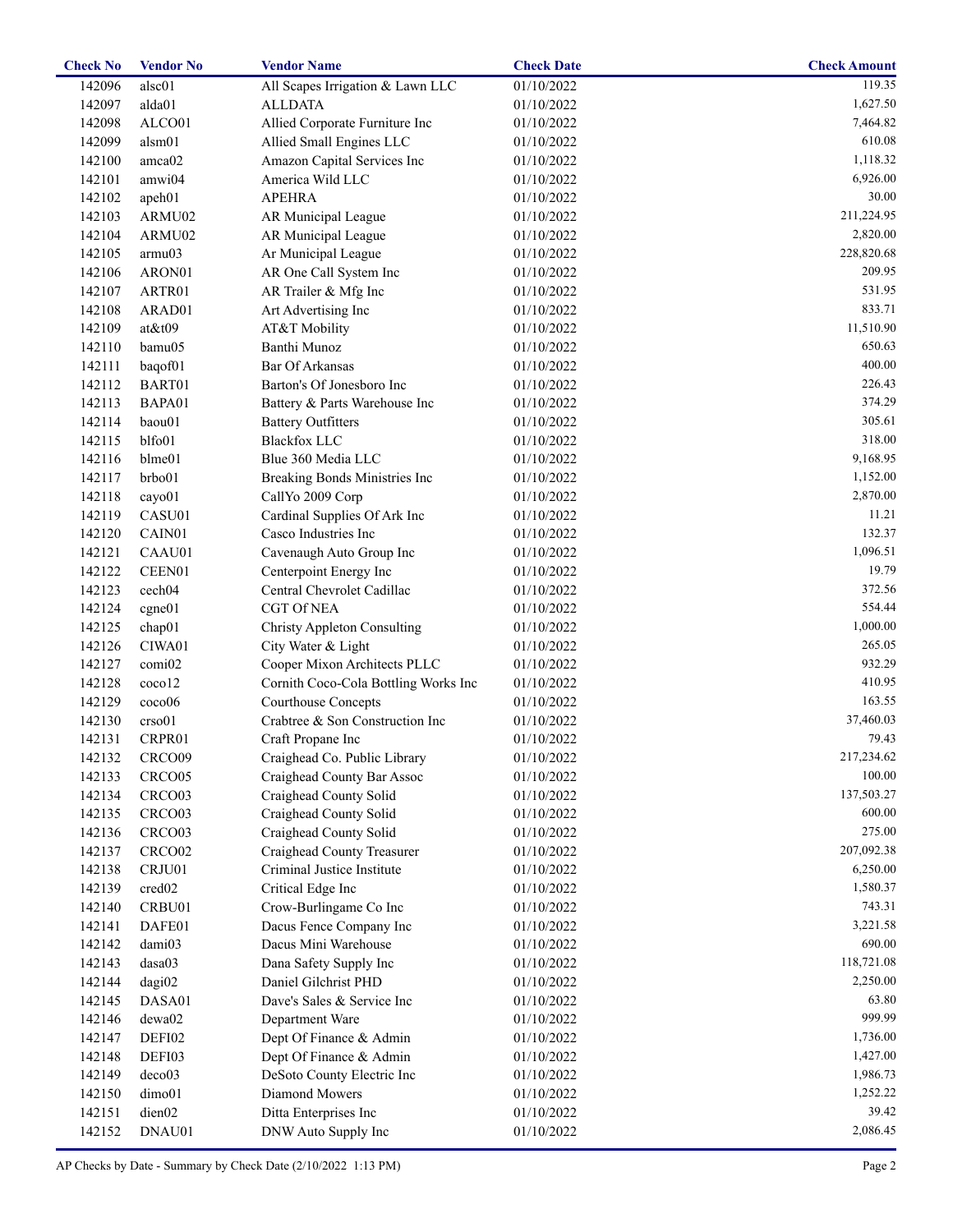| <b>Check No</b> | <b>Vendor No</b>   | <b>Vendor Name</b>                   | <b>Check Date</b> | <b>Check Amount</b> |
|-----------------|--------------------|--------------------------------------|-------------------|---------------------|
| 142096          | alsc01             | All Scapes Irrigation & Lawn LLC     | 01/10/2022        | 119.35              |
| 142097          | alda01             | <b>ALLDATA</b>                       | 01/10/2022        | 1,627.50            |
| 142098          | ALCO01             | Allied Corporate Furniture Inc       | 01/10/2022        | 7,464.82            |
| 142099          | alsm01             | Allied Small Engines LLC             | 01/10/2022        | 610.08              |
| 142100          | amca02             | Amazon Capital Services Inc          | 01/10/2022        | 1,118.32            |
| 142101          | amwi04             | America Wild LLC                     | 01/10/2022        | 6,926.00            |
| 142102          | apeh01             | <b>APEHRA</b>                        | 01/10/2022        | 30.00               |
| 142103          | ARMU02             | AR Municipal League                  | 01/10/2022        | 211,224.95          |
| 142104          | ARMU02             | AR Municipal League                  | 01/10/2022        | 2,820.00            |
| 142105          | armu03             | Ar Municipal League                  | 01/10/2022        | 228,820.68          |
| 142106          | ARON01             | AR One Call System Inc               | 01/10/2022        | 209.95              |
| 142107          | ARTR01             | AR Trailer & Mfg Inc                 | 01/10/2022        | 531.95              |
| 142108          | ARAD01             | Art Advertising Inc                  | 01/10/2022        | 833.71              |
| 142109          | $at \& t09$        | AT&T Mobility                        | 01/10/2022        | 11,510.90           |
| 142110          | bamu05             | Banthi Munoz                         | 01/10/2022        | 650.63              |
| 142111          | baqof01            | Bar Of Arkansas                      | 01/10/2022        | 400.00              |
| 142112          | BART01             | Barton's Of Jonesboro Inc            | 01/10/2022        | 226.43              |
|                 | BAPA01             |                                      |                   | 374.29              |
| 142113          |                    | Battery & Parts Warehouse Inc        | 01/10/2022        |                     |
| 142114          | baou01             | <b>Battery Outfitters</b>            | 01/10/2022        | 305.61              |
| 142115          | blfo01             | <b>Blackfox LLC</b>                  | 01/10/2022        | 318.00              |
| 142116          | blme01             | Blue 360 Media LLC                   | 01/10/2022        | 9,168.95            |
| 142117          | brbo01             | Breaking Bonds Ministries Inc        | 01/10/2022        | 1,152.00            |
| 142118          | cayo01             | CallYo 2009 Corp                     | 01/10/2022        | 2,870.00            |
| 142119          | CASU01             | Cardinal Supplies Of Ark Inc         | 01/10/2022        | 11.21               |
| 142120          | CAIN01             | Casco Industries Inc                 | 01/10/2022        | 132.37              |
| 142121          | CAAU01             | Cavenaugh Auto Group Inc             | 01/10/2022        | 1,096.51            |
| 142122          | CEEN01             | Centerpoint Energy Inc               | 01/10/2022        | 19.79               |
| 142123          | cech <sub>04</sub> | Central Chevrolet Cadillac           | 01/10/2022        | 372.56              |
| 142124          | cgne01             | <b>CGT Of NEA</b>                    | 01/10/2022        | 554.44              |
| 142125          | chap01             | <b>Christy Appleton Consulting</b>   | 01/10/2022        | 1,000.00            |
| 142126          | CIWA01             | City Water & Light                   | 01/10/2022        | 265.05              |
| 142127          | comi02             | Cooper Mixon Architects PLLC         | 01/10/2022        | 932.29              |
| 142128          | coco12             | Cornith Coco-Cola Bottling Works Inc | 01/10/2022        | 410.95              |
| 142129          | coco06             | <b>Courthouse Concepts</b>           | 01/10/2022        | 163.55              |
| 142130          | crso01             | Crabtree & Son Construction Inc      | 01/10/2022        | 37,460.03           |
| 142131          | CRPR01             | Craft Propane Inc                    | 01/10/2022        | 79.43               |
| 142132          | CRCO09             | Craighead Co. Public Library         | 01/10/2022        | 217,234.62          |
| 142133          | CRCO05             | Craighead County Bar Assoc           | 01/10/2022        | 100.00              |
| 142134          | CRCO <sub>03</sub> | Craighead County Solid               | 01/10/2022        | 137,503.27          |
| 142135          | CRCO <sub>03</sub> | Craighead County Solid               | 01/10/2022        | 600.00              |
| 142136          | CRCO <sub>03</sub> | Craighead County Solid               | 01/10/2022        | 275.00              |
| 142137          | CRCO <sub>02</sub> | Craighead County Treasurer           | 01/10/2022        | 207,092.38          |
| 142138          | CRJU01             | Criminal Justice Institute           | 01/10/2022        | 6,250.00            |
| 142139          | cred <sub>02</sub> | Critical Edge Inc                    | 01/10/2022        | 1,580.37            |
| 142140          | CRBU01             | Crow-Burlingame Co Inc               | 01/10/2022        | 743.31              |
| 142141          | DAFE01             | Dacus Fence Company Inc              | 01/10/2022        | 3,221.58            |
| 142142          | dami03             | Dacus Mini Warehouse                 | 01/10/2022        | 690.00              |
| 142143          | dasa03             | Dana Safety Supply Inc               | 01/10/2022        | 118,721.08          |
| 142144          | dagi02             | Daniel Gilchrist PHD                 | 01/10/2022        | 2,250.00            |
| 142145          | DASA01             | Dave's Sales & Service Inc           | 01/10/2022        | 63.80               |
|                 |                    |                                      |                   | 999.99              |
| 142146          | dewa02             | Department Ware                      | 01/10/2022        |                     |
| 142147          | DEFI02             | Dept Of Finance & Admin              | 01/10/2022        | 1,736.00            |
| 142148          | DEFI03             | Dept Of Finance & Admin              | 01/10/2022        | 1,427.00            |
| 142149          | deco03             | DeSoto County Electric Inc           | 01/10/2022        | 1,986.73            |
| 142150          | dimo01             | Diamond Mowers                       | 01/10/2022        | 1,252.22            |
| 142151          | dien02             | Ditta Enterprises Inc                | 01/10/2022        | 39.42               |
| 142152          | DNAU01             | DNW Auto Supply Inc                  | 01/10/2022        | 2,086.45            |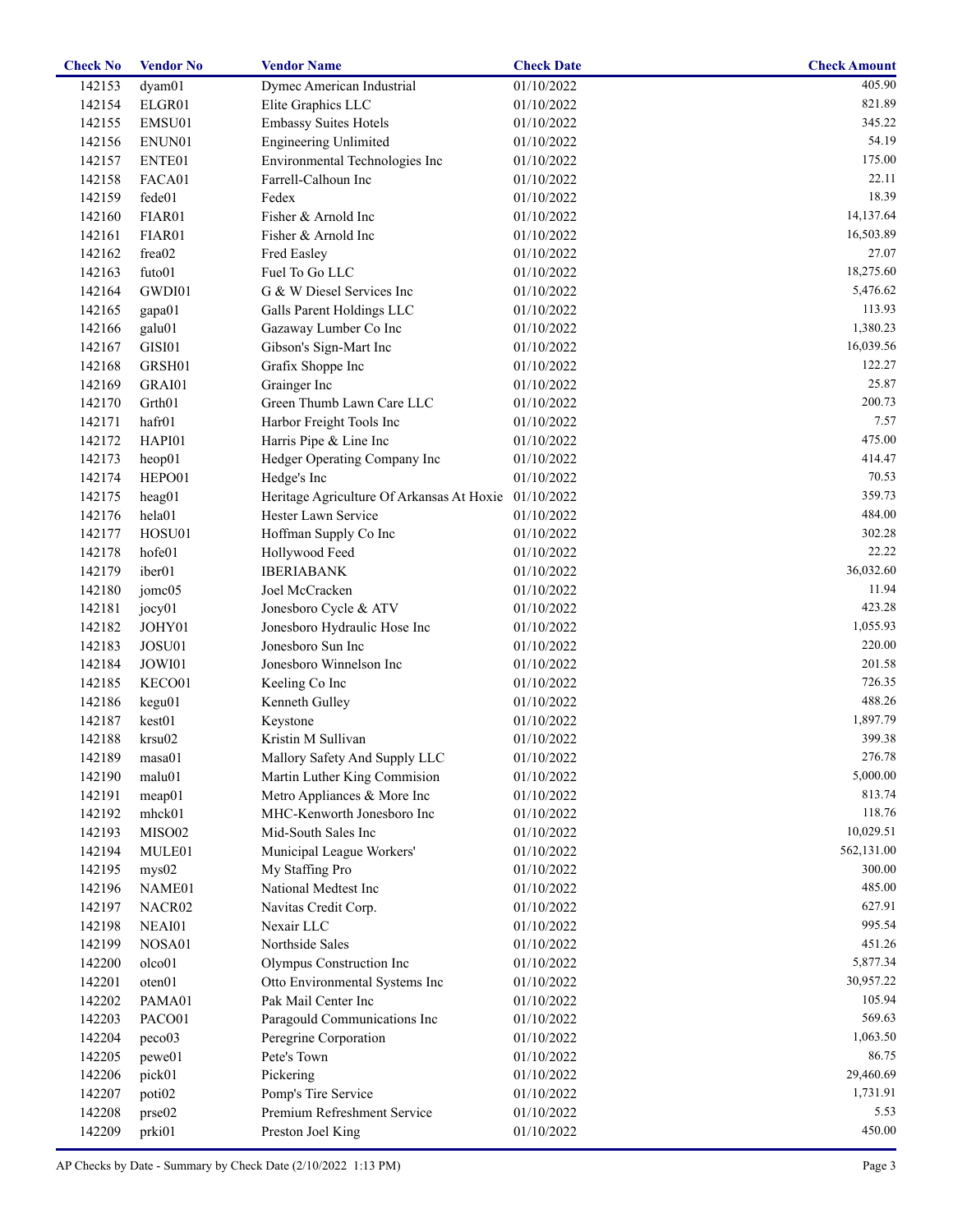| <b>Check No</b> | <b>Vendor No</b>   | <b>Vendor Name</b>                                   | <b>Check Date</b> | <b>Check Amount</b> |
|-----------------|--------------------|------------------------------------------------------|-------------------|---------------------|
| 142153          | dyam01             | Dymec American Industrial                            | 01/10/2022        | 405.90              |
| 142154          | ELGR01             | Elite Graphics LLC                                   | 01/10/2022        | 821.89              |
| 142155          | EMSU01             | <b>Embassy Suites Hotels</b>                         | 01/10/2022        | 345.22              |
| 142156          | ENUN01             | <b>Engineering Unlimited</b>                         | 01/10/2022        | 54.19               |
| 142157          | ENTE01             | Environmental Technologies Inc                       | 01/10/2022        | 175.00              |
| 142158          | FACA01             | Farrell-Calhoun Inc                                  | 01/10/2022        | 22.11               |
| 142159          | fede01             | Fedex                                                | 01/10/2022        | 18.39               |
| 142160          | FIAR01             | Fisher & Arnold Inc                                  | 01/10/2022        | 14,137.64           |
| 142161          | FIAR01             | Fisher & Arnold Inc                                  | 01/10/2022        | 16,503.89           |
| 142162          | frea02             | Fred Easley                                          | 01/10/2022        | 27.07               |
| 142163          | futo01             | Fuel To Go LLC                                       | 01/10/2022        | 18,275.60           |
| 142164          | GWDI01             | G & W Diesel Services Inc                            | 01/10/2022        | 5,476.62            |
| 142165          | gapa01             | Galls Parent Holdings LLC                            | 01/10/2022        | 113.93              |
| 142166          | galu01             | Gazaway Lumber Co Inc                                | 01/10/2022        | 1,380.23            |
| 142167          | GISI01             | Gibson's Sign-Mart Inc                               | 01/10/2022        | 16,039.56           |
|                 | GRSH01             |                                                      |                   | 122.27              |
| 142168          |                    | Grafix Shoppe Inc                                    | 01/10/2022        | 25.87               |
| 142169          | GRAI01             | Grainger Inc                                         | 01/10/2022        |                     |
| 142170          | Grth <sub>01</sub> | Green Thumb Lawn Care LLC                            | 01/10/2022        | 200.73              |
| 142171          | hafr01             | Harbor Freight Tools Inc                             | 01/10/2022        | 7.57                |
| 142172          | HAPI01             | Harris Pipe & Line Inc                               | 01/10/2022        | 475.00              |
| 142173          | heop01             | Hedger Operating Company Inc                         | 01/10/2022        | 414.47              |
| 142174          | HEPO01             | Hedge's Inc                                          | 01/10/2022        | 70.53               |
| 142175          | heag01             | Heritage Agriculture Of Arkansas At Hoxie 01/10/2022 |                   | 359.73              |
| 142176          | hela01             | Hester Lawn Service                                  | 01/10/2022        | 484.00              |
| 142177          | HOSU01             | Hoffman Supply Co Inc                                | 01/10/2022        | 302.28              |
| 142178          | hofe01             | Hollywood Feed                                       | 01/10/2022        | 22.22               |
| 142179          | iber01             | <b>IBERIABANK</b>                                    | 01/10/2022        | 36,032.60           |
| 142180          | jomc05             | Joel McCracken                                       | 01/10/2022        | 11.94               |
| 142181          | jocy01             | Jonesboro Cycle & ATV                                | 01/10/2022        | 423.28              |
| 142182          | JOHY01             | Jonesboro Hydraulic Hose Inc                         | 01/10/2022        | 1,055.93            |
| 142183          | JOSU01             | Jonesboro Sun Inc                                    | 01/10/2022        | 220.00              |
| 142184          | JOWI01             | Jonesboro Winnelson Inc                              | 01/10/2022        | 201.58              |
| 142185          | KECO01             | Keeling Co Inc                                       | 01/10/2022        | 726.35              |
| 142186          | kegu01             | Kenneth Gulley                                       | 01/10/2022        | 488.26              |
| 142187          | kest01             | Keystone                                             | 01/10/2022        | 1,897.79            |
| 142188          | krsu02             | Kristin M Sullivan                                   | 01/10/2022        | 399.38              |
| 142189          | masa01             | Mallory Safety And Supply LLC                        | 01/10/2022        | 276.78              |
| 142190          | malu01             | Martin Luther King Commision                         | 01/10/2022        | 5,000.00            |
| 142191          | meap01             | Metro Appliances & More Inc                          | 01/10/2022        | 813.74              |
| 142192          | mhck01             | MHC-Kenworth Jonesboro Inc                           | 01/10/2022        | 118.76              |
| 142193          | MISO02             | Mid-South Sales Inc                                  | 01/10/2022        | 10,029.51           |
| 142194          | MULE01             | Municipal League Workers'                            | 01/10/2022        | 562,131.00          |
| 142195          | mys02              | My Staffing Pro                                      | 01/10/2022        | 300.00              |
| 142196          | NAME01             | National Medtest Inc                                 | 01/10/2022        | 485.00              |
| 142197          | NACR02             | Navitas Credit Corp.                                 | 01/10/2022        | 627.91              |
| 142198          | NEAI01             | Nexair LLC                                           | 01/10/2022        | 995.54              |
| 142199          | NOSA01             | Northside Sales                                      | 01/10/2022        | 451.26              |
| 142200          | olco01             | Olympus Construction Inc                             | 01/10/2022        | 5,877.34            |
| 142201          | oten01             | Otto Environmental Systems Inc                       | 01/10/2022        | 30,957.22           |
| 142202          | PAMA01             | Pak Mail Center Inc                                  | 01/10/2022        | 105.94              |
|                 |                    |                                                      |                   | 569.63              |
| 142203          | PACO01             | Paragould Communications Inc                         | 01/10/2022        | 1,063.50            |
| 142204          | peco03             | Peregrine Corporation                                | 01/10/2022        |                     |
| 142205          | pewe01             | Pete's Town                                          | 01/10/2022        | 86.75               |
| 142206          | pick01             | Pickering                                            | 01/10/2022        | 29,460.69           |
| 142207          | poti <sub>02</sub> | Pomp's Tire Service                                  | 01/10/2022        | 1,731.91            |
| 142208          | prse02             | Premium Refreshment Service                          | 01/10/2022        | 5.53                |
| 142209          | prki01             | Preston Joel King                                    | 01/10/2022        | 450.00              |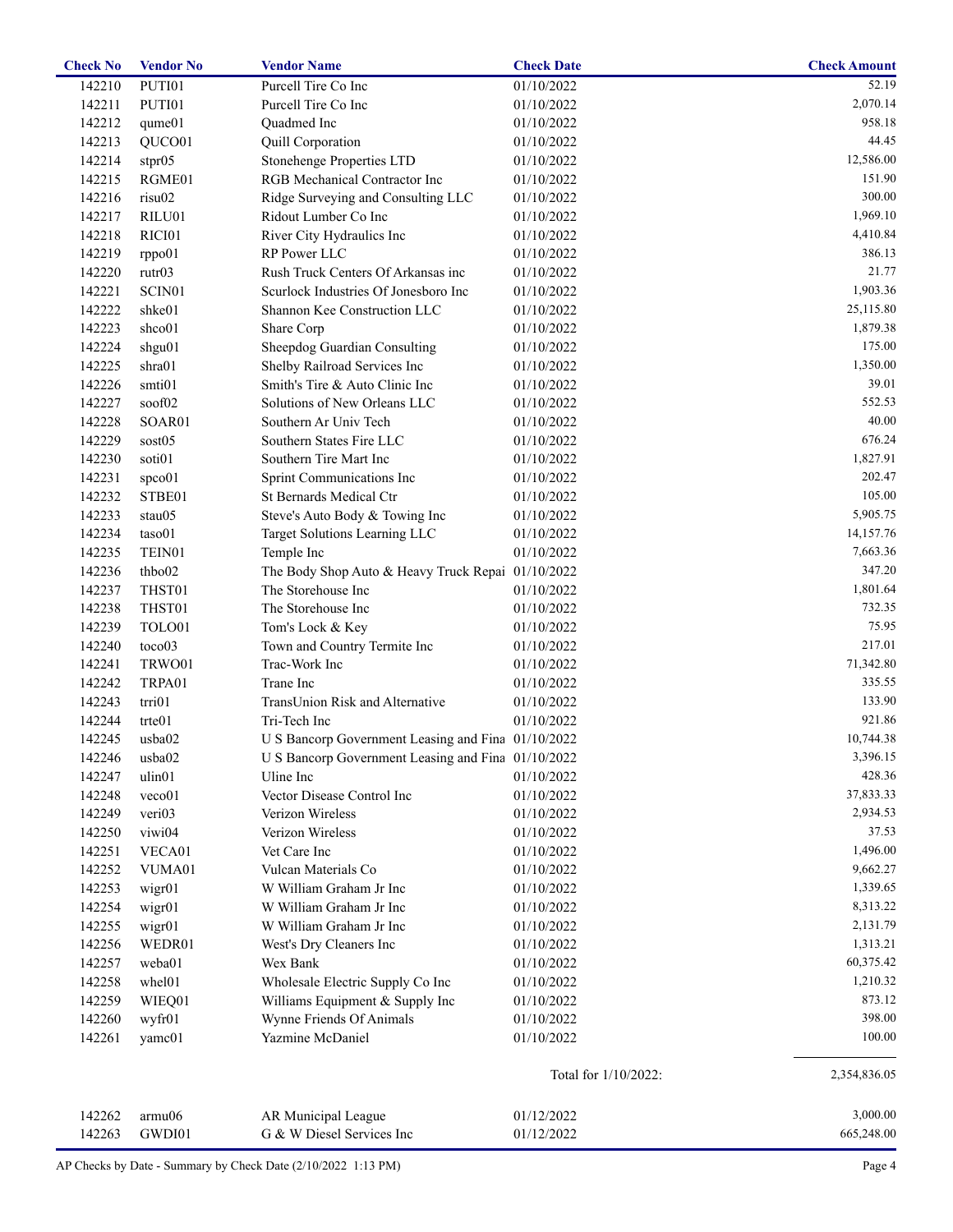| <b>Check No</b> | <b>Vendor No</b>   | <b>Vendor Name</b>                                 | <b>Check Date</b>    | <b>Check Amount</b> |
|-----------------|--------------------|----------------------------------------------------|----------------------|---------------------|
| 142210          | PUTI01             | Purcell Tire Co Inc                                | 01/10/2022           | 52.19               |
| 142211          | PUTI01             | Purcell Tire Co Inc                                | 01/10/2022           | 2,070.14            |
| 142212          | qume01             | Quadmed Inc                                        | 01/10/2022           | 958.18              |
| 142213          | QUCO01             | Quill Corporation                                  | 01/10/2022           | 44.45               |
| 142214          | stpr05             | <b>Stonehenge Properties LTD</b>                   | 01/10/2022           | 12,586.00           |
| 142215          | RGME01             | RGB Mechanical Contractor Inc                      | 01/10/2022           | 151.90              |
| 142216          | risu02             | Ridge Surveying and Consulting LLC                 | 01/10/2022           | 300.00              |
| 142217          | RILU01             | Ridout Lumber Co Inc                               | 01/10/2022           | 1,969.10            |
| 142218          | RICI01             | River City Hydraulics Inc                          | 01/10/2022           | 4,410.84            |
| 142219          | rppo01             | RP Power LLC                                       | 01/10/2022           | 386.13              |
| 142220          | rutr03             | Rush Truck Centers Of Arkansas inc                 | 01/10/2022           | 21.77               |
| 142221          | SCIN <sub>01</sub> | Scurlock Industries Of Jonesboro Inc               | 01/10/2022           | 1,903.36            |
| 142222          | shke01             | Shannon Kee Construction LLC                       | 01/10/2022           | 25,115.80           |
| 142223          | shco01             | Share Corp                                         | 01/10/2022           | 1,879.38            |
| 142224          | shgu01             | Sheepdog Guardian Consulting                       | 01/10/2022           | 175.00              |
|                 |                    |                                                    |                      | 1,350.00            |
| 142225          | shra01             | Shelby Railroad Services Inc                       | 01/10/2022           | 39.01               |
| 142226          | smti01             | Smith's Tire & Auto Clinic Inc                     | 01/10/2022           |                     |
| 142227          | soof02             | Solutions of New Orleans LLC                       | 01/10/2022           | 552.53              |
| 142228          | SOAR01             | Southern Ar Univ Tech                              | 01/10/2022           | 40.00               |
| 142229          | sost05             | Southern States Fire LLC                           | 01/10/2022           | 676.24              |
| 142230          | soti01             | Southern Tire Mart Inc                             | 01/10/2022           | 1,827.91            |
| 142231          | spco01             | Sprint Communications Inc                          | 01/10/2022           | 202.47              |
| 142232          | STBE01             | St Bernards Medical Ctr                            | 01/10/2022           | 105.00              |
| 142233          | stau05             | Steve's Auto Body & Towing Inc                     | 01/10/2022           | 5,905.75            |
| 142234          | taso01             | Target Solutions Learning LLC                      | 01/10/2022           | 14,157.76           |
| 142235          | TEIN01             | Temple Inc                                         | 01/10/2022           | 7,663.36            |
| 142236          | thbo02             | The Body Shop Auto & Heavy Truck Repai 01/10/2022  |                      | 347.20              |
| 142237          | THST01             | The Storehouse Inc                                 | 01/10/2022           | 1,801.64            |
| 142238          | THST01             | The Storehouse Inc                                 | 01/10/2022           | 732.35              |
| 142239          | TOLO01             | Tom's Lock & Key                                   | 01/10/2022           | 75.95               |
| 142240          | toco03             | Town and Country Termite Inc                       | 01/10/2022           | 217.01              |
| 142241          | TRWO01             | Trac-Work Inc                                      | 01/10/2022           | 71,342.80           |
| 142242          | TRPA01             | Trane Inc                                          | 01/10/2022           | 335.55              |
| 142243          | trri01             | TransUnion Risk and Alternative                    | 01/10/2022           | 133.90              |
| 142244          | trte01             | Tri-Tech Inc                                       | 01/10/2022           | 921.86              |
| 142245          | usba02             | U S Bancorp Government Leasing and Fina 01/10/2022 |                      | 10,744.38           |
| 142246          | usba02             | U S Bancorp Government Leasing and Fina 01/10/2022 |                      | 3,396.15            |
| 142247          | ulin01             | Uline Inc                                          | 01/10/2022           | 428.36              |
| 142248          | veco01             | Vector Disease Control Inc                         | 01/10/2022           | 37,833.33           |
| 142249          | veri03             | Verizon Wireless                                   | 01/10/2022           | 2,934.53            |
| 142250          | viwi04             | Verizon Wireless                                   | 01/10/2022           | 37.53               |
|                 |                    | Vet Care Inc                                       | 01/10/2022           | 1,496.00            |
| 142251          | VECA01             |                                                    |                      |                     |
| 142252          | VUMA01             | Vulcan Materials Co                                | 01/10/2022           | 9,662.27            |
| 142253          | wigr01             | W William Graham Jr Inc                            | 01/10/2022           | 1,339.65            |
| 142254          | wigr01             | W William Graham Jr Inc                            | 01/10/2022           | 8,313.22            |
| 142255          | wigr01             | W William Graham Jr Inc                            | 01/10/2022           | 2,131.79            |
| 142256          | WEDR01             | West's Dry Cleaners Inc                            | 01/10/2022           | 1,313.21            |
| 142257          | weba01             | Wex Bank                                           | 01/10/2022           | 60,375.42           |
| 142258          | whel01             | Wholesale Electric Supply Co Inc                   | 01/10/2022           | 1,210.32            |
| 142259          | WIEQ01             | Williams Equipment & Supply Inc                    | 01/10/2022           | 873.12              |
| 142260          | wyfr01             | Wynne Friends Of Animals                           | 01/10/2022           | 398.00              |
| 142261          | yamc01             | Yazmine McDaniel                                   | 01/10/2022           | 100.00              |
|                 |                    |                                                    | Total for 1/10/2022: | 2,354,836.05        |
| 142262          | armu06             | AR Municipal League                                | 01/12/2022           | 3,000.00            |
| 142263          | GWDI01             | G & W Diesel Services Inc                          | 01/12/2022           | 665,248.00          |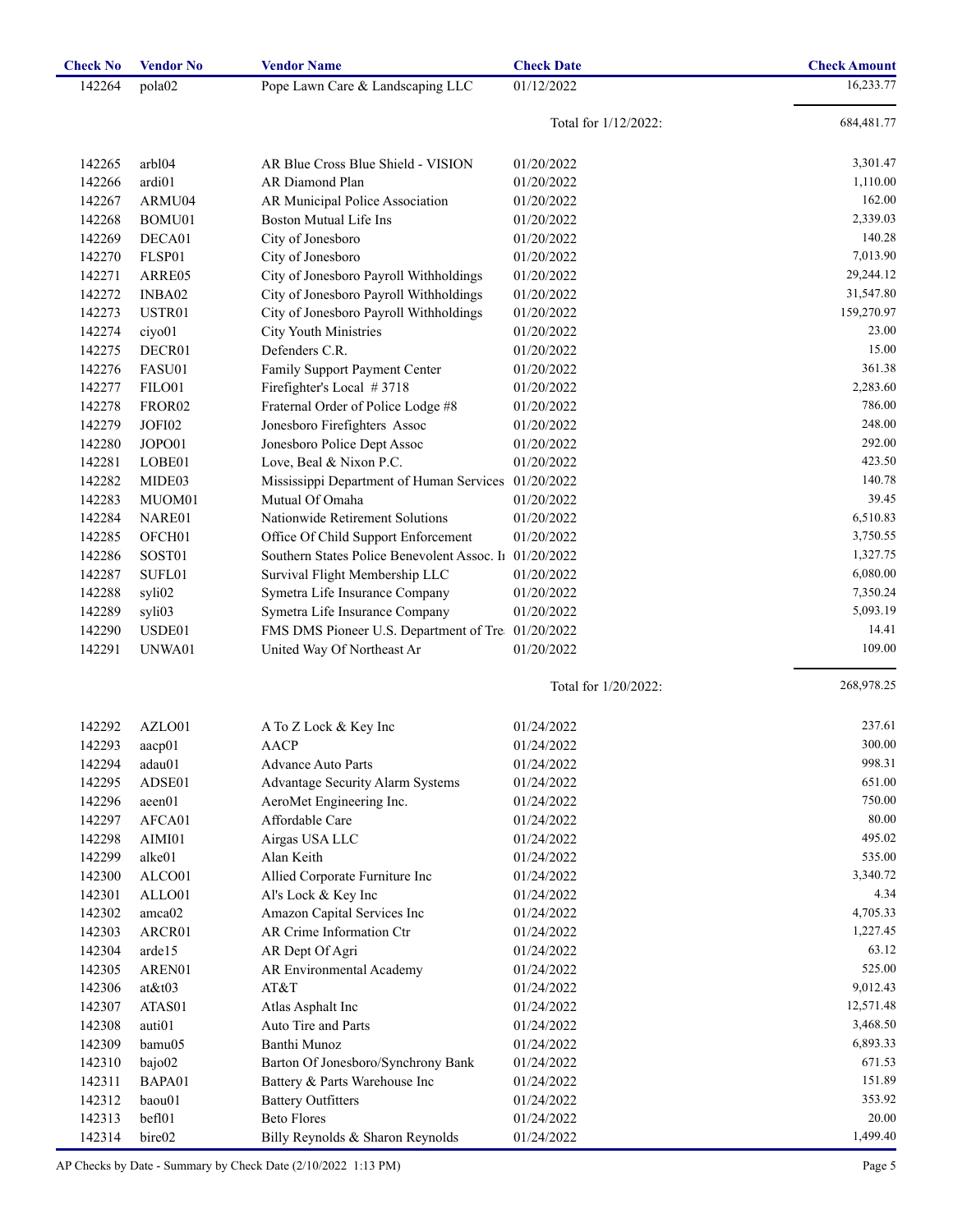| <b>Check No</b> | <b>Vendor No</b>   | <b>Vendor Name</b>                          | <b>Check Date</b>    | <b>Check Amount</b> |
|-----------------|--------------------|---------------------------------------------|----------------------|---------------------|
| 142264          | pola <sub>02</sub> | Pope Lawn Care & Landscaping LLC            | 01/12/2022           | 16,233.77           |
|                 |                    |                                             | Total for 1/12/2022: | 684,481.77          |
|                 |                    |                                             |                      |                     |
| 142265          | arbl04             | AR Blue Cross Blue Shield - VISION          | 01/20/2022           | 3,301.47            |
| 142266          | ardi01             | AR Diamond Plan                             | 01/20/2022           | 1,110.00            |
| 142267          | ARMU04             | AR Municipal Police Association             | 01/20/2022           | 162.00              |
| 142268          | BOMU01             | <b>Boston Mutual Life Ins</b>               | 01/20/2022           | 2,339.03            |
| 142269          | DECA01             | City of Jonesboro                           | 01/20/2022           | 140.28              |
| 142270          | FLSP01             | City of Jonesboro                           | 01/20/2022           | 7,013.90            |
| 142271          | ARRE05             | City of Jonesboro Payroll Withholdings      | 01/20/2022           | 29,244.12           |
| 142272          | INBA02             | City of Jonesboro Payroll Withholdings      | 01/20/2022           | 31,547.80           |
| 142273          | USTR01             | City of Jonesboro Payroll Withholdings      | 01/20/2022           | 159,270.97          |
| 142274          | ciyo01             | <b>City Youth Ministries</b>                | 01/20/2022           | 23.00               |
| 142275          | DECR01             | Defenders C.R.                              | 01/20/2022           | 15.00               |
| 142276          | FASU01             | Family Support Payment Center               | 01/20/2022           | 361.38              |
| 142277          | FILO01             | Firefighter's Local #3718                   | 01/20/2022           | 2,283.60            |
| 142278          | FROR <sub>02</sub> | Fraternal Order of Police Lodge #8          | 01/20/2022           | 786.00              |
| 142279          | JOFI02             | Jonesboro Firefighters Assoc                | 01/20/2022           | 248.00              |
| 142280          | JOPO01             | Jonesboro Police Dept Assoc                 | 01/20/2022           | 292.00              |
| 142281          | LOBE01             | Love, Beal & Nixon P.C.                     | 01/20/2022           | 423.50              |
| 142282          | MIDE03             | Mississippi Department of Human Services    | 01/20/2022           | 140.78              |
| 142283          | MUOM01             | Mutual Of Omaha                             | 01/20/2022           | 39.45               |
| 142284          | NARE01             | Nationwide Retirement Solutions             | 01/20/2022           | 6,510.83            |
| 142285          | OFCH <sub>01</sub> | Office Of Child Support Enforcement         | 01/20/2022           | 3,750.55            |
| 142286          | SOST01             | Southern States Police Benevolent Assoc. In | 01/20/2022           | 1,327.75            |
| 142287          | SUFL01             | Survival Flight Membership LLC              | 01/20/2022           | 6,080.00            |
| 142288          | syli02             | Symetra Life Insurance Company              | 01/20/2022           | 7,350.24            |
| 142289          | syli03             | Symetra Life Insurance Company              | 01/20/2022           | 5,093.19            |
| 142290          | USDE01             | FMS DMS Pioneer U.S. Department of Tre      | 01/20/2022           | 14.41               |
| 142291          | UNWA01             | United Way Of Northeast Ar                  | 01/20/2022           | 109.00              |
|                 |                    |                                             | Total for 1/20/2022: | 268,978.25          |
|                 |                    |                                             |                      |                     |
| 142292          | AZLO01             | A To Z Lock & Key Inc                       | 01/24/2022           | 237.61              |
| 142293          | aacp01             | AACP                                        | 01/24/2022           | 300.00              |
| 142294          | adau01             | <b>Advance Auto Parts</b>                   | 01/24/2022           | 998.31              |
| 142295          | ADSE01             | Advantage Security Alarm Systems            | 01/24/2022           | 651.00              |
| 142296          | aeen01             | AeroMet Engineering Inc.                    | 01/24/2022           | 750.00              |
| 142297          | AFCA01             | Affordable Care                             | 01/24/2022           | 80.00               |
| 142298          | AIMI01             | Airgas USA LLC                              | 01/24/2022           | 495.02              |
| 142299          | alke01             | Alan Keith                                  | 01/24/2022           | 535.00              |
| 142300          | ALCO01             | Allied Corporate Furniture Inc              | 01/24/2022           | 3,340.72            |
| 142301          | ALLO01             | Al's Lock & Key Inc                         | 01/24/2022           | 4.34                |
| 142302          | amca02             | Amazon Capital Services Inc                 | 01/24/2022           | 4,705.33            |
| 142303          | ARCR01             | AR Crime Information Ctr                    | 01/24/2022           | 1,227.45            |
| 142304          | arde15             | AR Dept Of Agri                             | 01/24/2022           | 63.12               |
| 142305          | AREN01             | AR Environmental Academy                    | 01/24/2022           | 525.00              |
| 142306          | $at$ &t $03$       | AT&T                                        | 01/24/2022           | 9,012.43            |
| 142307          | ATAS01             | Atlas Asphalt Inc                           | 01/24/2022           | 12,571.48           |
| 142308          | auti01             | Auto Tire and Parts                         | 01/24/2022           | 3,468.50            |
| 142309          | bamu05             | Banthi Munoz                                | 01/24/2022           | 6,893.33            |
| 142310          | bajo02             | Barton Of Jonesboro/Synchrony Bank          | 01/24/2022           | 671.53              |
| 142311          | BAPA01             | Battery & Parts Warehouse Inc               | 01/24/2022           | 151.89              |
| 142312          | baou01             | <b>Battery Outfitters</b>                   | 01/24/2022           | 353.92              |
| 142313          | bef101             | <b>Beto Flores</b>                          | 01/24/2022           | 20.00               |
| 142314          | bire02             | Billy Reynolds & Sharon Reynolds            | 01/24/2022           | 1,499.40            |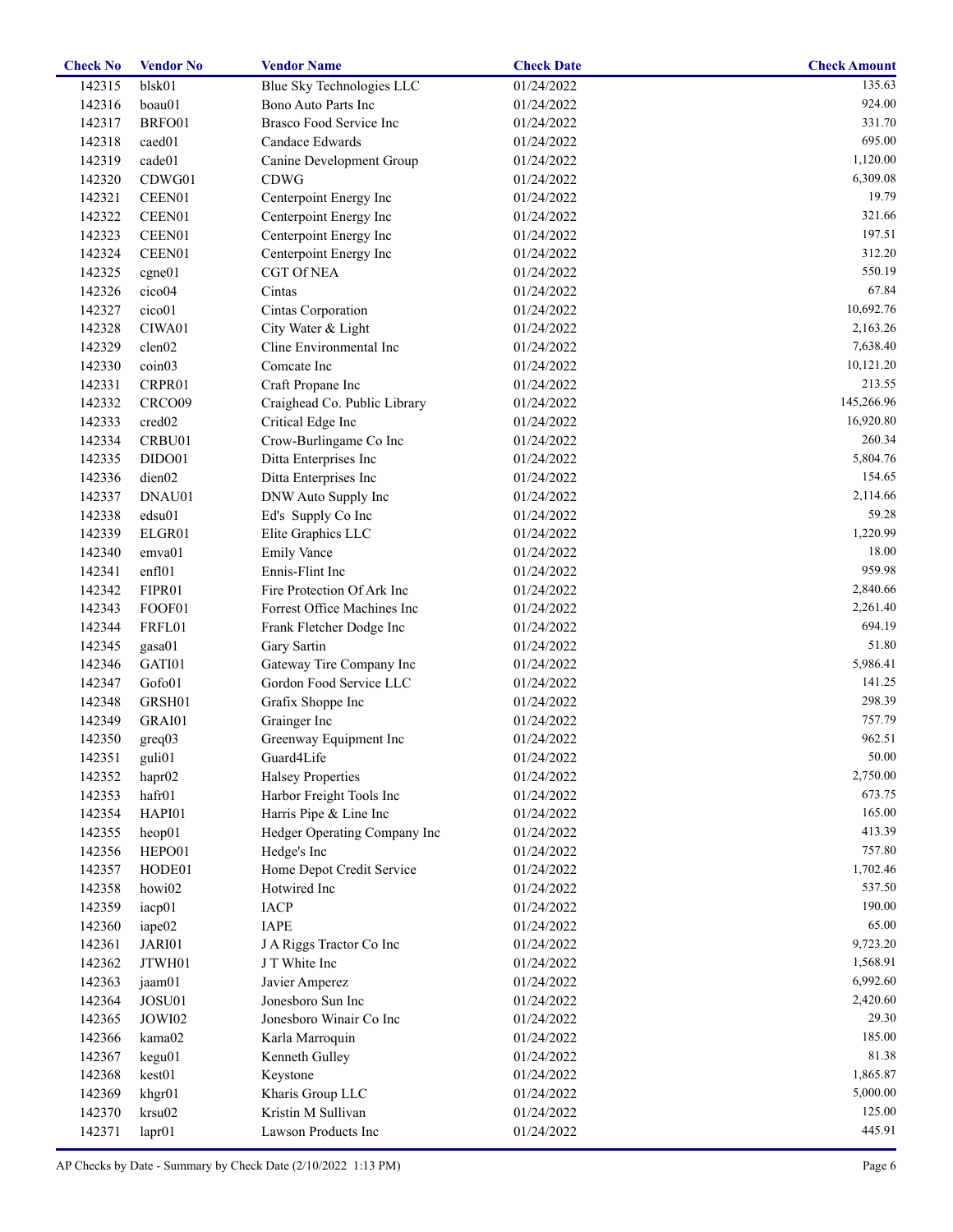| <b>Check No</b> | <b>Vendor No</b>   | <b>Vendor Name</b>           | <b>Check Date</b> | <b>Check Amount</b> |
|-----------------|--------------------|------------------------------|-------------------|---------------------|
| 142315          | blsk01             | Blue Sky Technologies LLC    | 01/24/2022        | 135.63              |
| 142316          | boau01             | Bono Auto Parts Inc          | 01/24/2022        | 924.00              |
| 142317          | BRFO01             | Brasco Food Service Inc      | 01/24/2022        | 331.70              |
| 142318          | caed <sub>01</sub> | Candace Edwards              | 01/24/2022        | 695.00              |
| 142319          | cade01             | Canine Development Group     | 01/24/2022        | 1,120.00            |
| 142320          | CDWG01             | <b>CDWG</b>                  | 01/24/2022        | 6,309.08            |
| 142321          | CEEN01             | Centerpoint Energy Inc       | 01/24/2022        | 19.79               |
| 142322          | CEEN01             | Centerpoint Energy Inc       | 01/24/2022        | 321.66              |
| 142323          | CEEN01             | Centerpoint Energy Inc       | 01/24/2022        | 197.51              |
| 142324          | CEEN01             | Centerpoint Energy Inc       | 01/24/2022        | 312.20              |
| 142325          | cgne01             | <b>CGT Of NEA</b>            | 01/24/2022        | 550.19              |
| 142326          | cico04             | Cintas                       | 01/24/2022        | 67.84               |
| 142327          | cico01             | Cintas Corporation           | 01/24/2022        | 10,692.76           |
| 142328          | CIWA01             | City Water & Light           | 01/24/2022        | 2,163.26            |
| 142329          | clen02             | Cline Environmental Inc      | 01/24/2022        | 7,638.40            |
| 142330          | coin <sub>03</sub> | Comcate Inc                  | 01/24/2022        | 10,121.20           |
| 142331          | CRPR01             | Craft Propane Inc            | 01/24/2022        | 213.55              |
| 142332          | CRCO09             | Craighead Co. Public Library | 01/24/2022        | 145,266.96          |
| 142333          | cred <sub>02</sub> | Critical Edge Inc            | 01/24/2022        | 16,920.80           |
|                 |                    |                              |                   | 260.34              |
| 142334          | CRBU01             | Crow-Burlingame Co Inc       | 01/24/2022        | 5,804.76            |
| 142335          | DIDO01             | Ditta Enterprises Inc        | 01/24/2022        |                     |
| 142336          | dien02             | Ditta Enterprises Inc        | 01/24/2022        | 154.65              |
| 142337          | DNAU01             | DNW Auto Supply Inc          | 01/24/2022        | 2,114.66            |
| 142338          | edsu01             | Ed's Supply Co Inc           | 01/24/2022        | 59.28               |
| 142339          | ELGR01             | Elite Graphics LLC           | 01/24/2022        | 1,220.99            |
| 142340          | emva01             | <b>Emily Vance</b>           | 01/24/2022        | 18.00               |
| 142341          | enfl01             | Ennis-Flint Inc              | 01/24/2022        | 959.98              |
| 142342          | FIPR01             | Fire Protection Of Ark Inc   | 01/24/2022        | 2,840.66            |
| 142343          | FOOF01             | Forrest Office Machines Inc  | 01/24/2022        | 2,261.40            |
| 142344          | FRFL01             | Frank Fletcher Dodge Inc     | 01/24/2022        | 694.19              |
| 142345          | gasa01             | Gary Sartin                  | 01/24/2022        | 51.80               |
| 142346          | GATI01             | Gateway Tire Company Inc     | 01/24/2022        | 5,986.41            |
| 142347          | Gofo01             | Gordon Food Service LLC      | 01/24/2022        | 141.25              |
| 142348          | GRSH01             | Grafix Shoppe Inc            | 01/24/2022        | 298.39              |
| 142349          | GRAI01             | Grainger Inc                 | 01/24/2022        | 757.79              |
| 142350          | greq03             | Greenway Equipment Inc       | 01/24/2022        | 962.51              |
| 142351          | guli01             | Guard4Life                   | 01/24/2022        | 50.00               |
| 142352          | hapr <sub>02</sub> | <b>Halsey Properties</b>     | 01/24/2022        | 2,750.00            |
| 142353          | hafr01             | Harbor Freight Tools Inc     | 01/24/2022        | 673.75              |
| 142354          | HAPI01             | Harris Pipe & Line Inc       | 01/24/2022        | 165.00              |
| 142355          | heop <sub>01</sub> | Hedger Operating Company Inc | 01/24/2022        | 413.39              |
| 142356          | HEPO01             | Hedge's Inc                  | 01/24/2022        | 757.80              |
| 142357          | HODE01             | Home Depot Credit Service    | 01/24/2022        | 1,702.46            |
| 142358          | howi02             | Hotwired Inc                 | 01/24/2022        | 537.50              |
| 142359          | iacp01             | <b>IACP</b>                  | 01/24/2022        | 190.00              |
| 142360          | iape02             | <b>IAPE</b>                  | 01/24/2022        | 65.00               |
| 142361          | JARI01             | J A Riggs Tractor Co Inc     | 01/24/2022        | 9,723.20            |
| 142362          | JTWH01             | J T White Inc                | 01/24/2022        | 1,568.91            |
| 142363          | jaam01             | Javier Amperez               | 01/24/2022        | 6,992.60            |
| 142364          | JOSU01             | Jonesboro Sun Inc            | 01/24/2022        | 2,420.60            |
| 142365          | JOWI02             | Jonesboro Winair Co Inc      | 01/24/2022        | 29.30               |
| 142366          | kama02             | Karla Marroquin              | 01/24/2022        | 185.00              |
| 142367          | kegu01             | Kenneth Gulley               | 01/24/2022        | 81.38               |
| 142368          | kest01             | Keystone                     | 01/24/2022        | 1,865.87            |
| 142369          | khgr01             | Kharis Group LLC             | 01/24/2022        | 5,000.00            |
|                 |                    | Kristin M Sullivan           |                   | 125.00              |
| 142370          | krsu02             |                              | 01/24/2022        |                     |
| 142371          | lapr01             | Lawson Products Inc          | 01/24/2022        | 445.91              |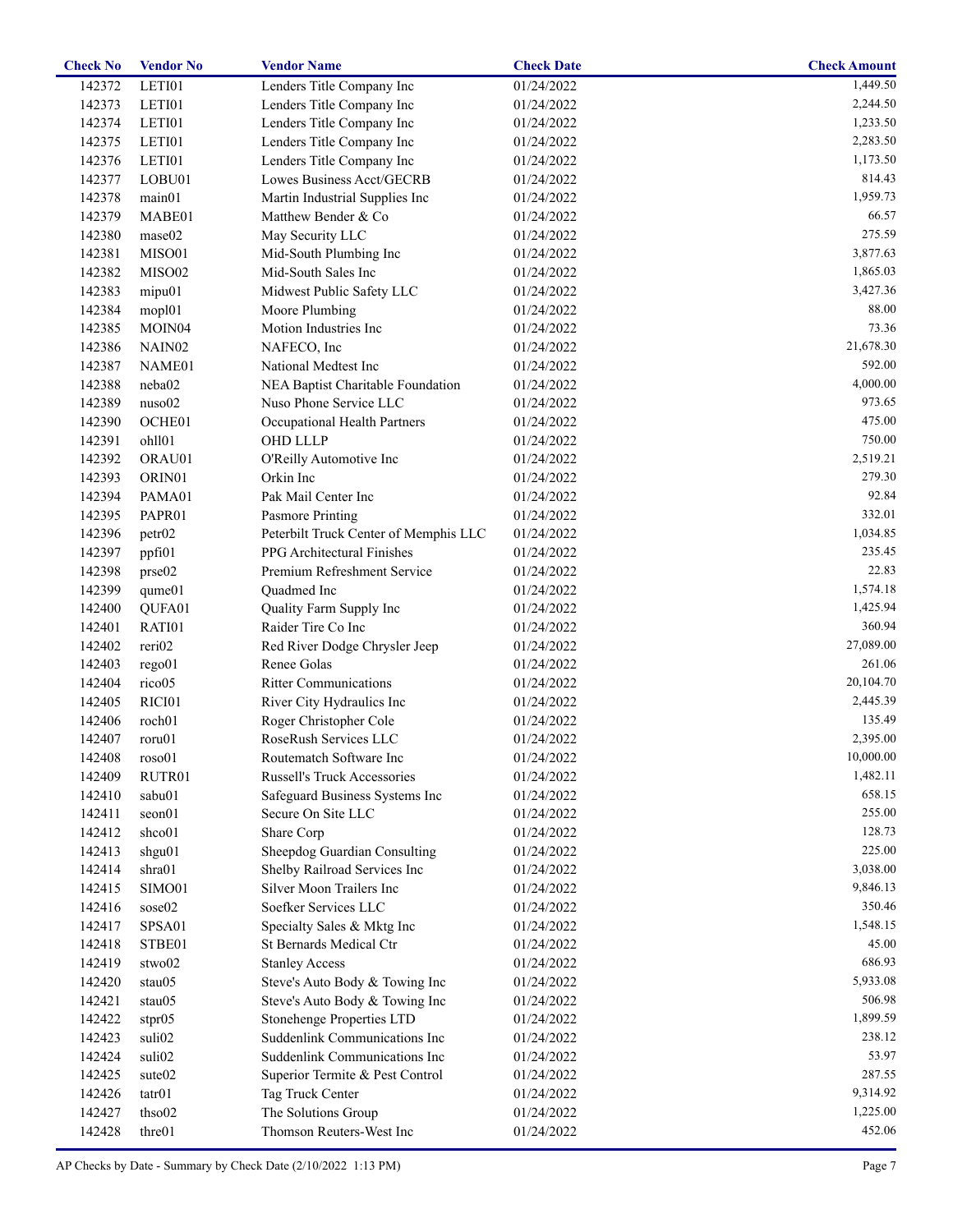| <b>Check No</b> | <b>Vendor No</b>   | <b>Vendor Name</b>                    | <b>Check Date</b> | <b>Check Amount</b> |
|-----------------|--------------------|---------------------------------------|-------------------|---------------------|
| 142372          | LETI01             | Lenders Title Company Inc             | 01/24/2022        | 1,449.50            |
| 142373          | LETI01             | Lenders Title Company Inc             | 01/24/2022        | 2,244.50            |
| 142374          | LETI01             | Lenders Title Company Inc             | 01/24/2022        | 1,233.50            |
| 142375          | LETI01             | Lenders Title Company Inc             | 01/24/2022        | 2,283.50            |
| 142376          | LETI01             | Lenders Title Company Inc             | 01/24/2022        | 1,173.50            |
| 142377          | LOBU01             | Lowes Business Acct/GECRB             | 01/24/2022        | 814.43              |
| 142378          | main01             | Martin Industrial Supplies Inc        | 01/24/2022        | 1,959.73            |
| 142379          | MABE01             | Matthew Bender & Co                   | 01/24/2022        | 66.57               |
| 142380          | mase02             | May Security LLC                      | 01/24/2022        | 275.59              |
| 142381          | MISO01             | Mid-South Plumbing Inc                | 01/24/2022        | 3,877.63            |
| 142382          | MISO02             | Mid-South Sales Inc                   | 01/24/2022        | 1,865.03            |
| 142383          | mipu01             | Midwest Public Safety LLC             | 01/24/2022        | 3,427.36            |
| 142384          | mopl01             | Moore Plumbing                        | 01/24/2022        | 88.00               |
| 142385          | MOIN <sub>04</sub> | Motion Industries Inc                 | 01/24/2022        | 73.36               |
| 142386          | NAIN <sub>02</sub> | NAFECO, Inc                           | 01/24/2022        | 21,678.30           |
| 142387          | NAME01             | National Medtest Inc                  | 01/24/2022        | 592.00              |
| 142388          | neba02             | NEA Baptist Charitable Foundation     | 01/24/2022        | 4,000.00            |
| 142389          | nuso02             | Nuso Phone Service LLC                | 01/24/2022        | 973.65              |
| 142390          | OCHE01             | Occupational Health Partners          | 01/24/2022        | 475.00              |
| 142391          | ohll01             | OHD LLLP                              | 01/24/2022        | 750.00              |
| 142392          | ORAU01             | O'Reilly Automotive Inc               | 01/24/2022        | 2,519.21            |
| 142393          | ORIN01             | Orkin Inc                             | 01/24/2022        | 279.30              |
| 142394          | PAMA01             | Pak Mail Center Inc                   | 01/24/2022        | 92.84               |
| 142395          | PAPR01             | Pasmore Printing                      | 01/24/2022        | 332.01              |
| 142396          | petr02             | Peterbilt Truck Center of Memphis LLC | 01/24/2022        | 1,034.85            |
| 142397          | ppfi01             | PPG Architectural Finishes            | 01/24/2022        | 235.45              |
| 142398          | prse02             | Premium Refreshment Service           | 01/24/2022        | 22.83               |
| 142399          | qume01             | Quadmed Inc                           | 01/24/2022        | 1,574.18            |
| 142400          | QUFA01             | Quality Farm Supply Inc               | 01/24/2022        | 1,425.94            |
| 142401          | RATI01             | Raider Tire Co Inc                    | 01/24/2022        | 360.94              |
| 142402          | reri02             | Red River Dodge Chrysler Jeep         | 01/24/2022        | 27,089.00           |
| 142403          | rego01             | Renee Golas                           | 01/24/2022        | 261.06              |
| 142404          | rico05             | <b>Ritter Communications</b>          | 01/24/2022        | 20,104.70           |
| 142405          | RICI01             | River City Hydraulics Inc             | 01/24/2022        | 2,445.39            |
| 142406          | roch01             | Roger Christopher Cole                | 01/24/2022        | 135.49              |
| 142407          | roru01             | RoseRush Services LLC                 | 01/24/2022        | 2,395.00            |
| 142408          | roso01             | Routematch Software Inc               | 01/24/2022        | 10,000.00           |
| 142409          | RUTR01             | Russell's Truck Accessories           | 01/24/2022        | 1,482.11            |
| 142410          | sabu01             | Safeguard Business Systems Inc        | 01/24/2022        | 658.15              |
| 142411          | seon01             | Secure On Site LLC                    | 01/24/2022        | 255.00              |
| 142412          | shco01             | Share Corp                            | 01/24/2022        | 128.73              |
| 142413          | shgu01             | Sheepdog Guardian Consulting          | 01/24/2022        | 225.00              |
| 142414          | shra01             | Shelby Railroad Services Inc          | 01/24/2022        | 3,038.00            |
| 142415          | SIMO01             | Silver Moon Trailers Inc              | 01/24/2022        | 9,846.13            |
| 142416          | sose02             | Soefker Services LLC                  | 01/24/2022        | 350.46              |
| 142417          | SPSA01             | Specialty Sales & Mktg Inc            | 01/24/2022        | 1,548.15            |
| 142418          | STBE01             | St Bernards Medical Ctr               | 01/24/2022        | 45.00               |
| 142419          | stwo02             | <b>Stanley Access</b>                 | 01/24/2022        | 686.93              |
| 142420          | stau05             | Steve's Auto Body & Towing Inc        | 01/24/2022        | 5,933.08            |
| 142421          | stau05             | Steve's Auto Body & Towing Inc        | 01/24/2022        | 506.98              |
| 142422          | stpr05             | Stonehenge Properties LTD             | 01/24/2022        | 1,899.59            |
| 142423          | suli02             | Suddenlink Communications Inc         | 01/24/2022        | 238.12              |
| 142424          | suli02             | Suddenlink Communications Inc         | 01/24/2022        | 53.97               |
| 142425          | sute <sub>02</sub> | Superior Termite & Pest Control       | 01/24/2022        | 287.55              |
| 142426          | tatr01             | Tag Truck Center                      | 01/24/2022        | 9,314.92            |
| 142427          | thso02             | The Solutions Group                   | 01/24/2022        | 1,225.00            |
| 142428          | thre01             | Thomson Reuters-West Inc              | 01/24/2022        | 452.06              |
|                 |                    |                                       |                   |                     |